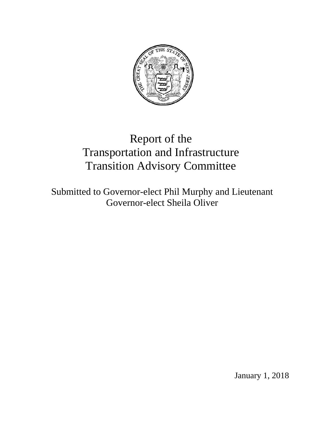

# Report of the Transportation and Infrastructure Transition Advisory Committee

Submitted to Governor-elect Phil Murphy and Lieutenant Governor-elect Sheila Oliver

January 1, 2018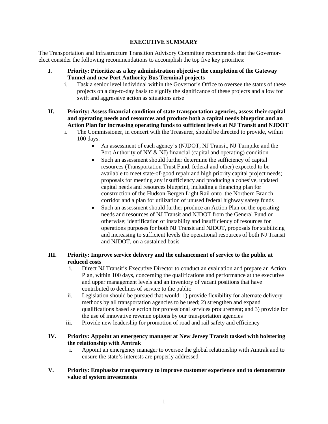## **EXECUTIVE SUMMARY**

The Transportation and Infrastructure Transition Advisory Committee recommends that the Governorelect consider the following recommendations to accomplish the top five key priorities:

- **I. Priority: Prioritize as a key administration objective the completion of the Gateway Tunnel and new Port Authority Bus Terminal projects**
	- i. Task a senior level individual within the Governor's Office to oversee the status of these projects on a day-to-day basis to signify the significance of these projects and allow for swift and aggressive action as situations arise
- **II. Priority: Assess financial condition of state transportation agencies, assess their capital and operating needs and resources and produce both a capital needs blueprint and an Action Plan for increasing operating funds to sufficient levels at NJ Transit and NJDOT** 
	- i. The Commissioner, in concert with the Treasurer, should be directed to provide, within 100 days:
		- An assessment of each agency's (NJDOT, NJ Transit, NJ Turnpike and the Port Authority of NY & NJ) financial (capital and operating) condition
		- Such an assessment should further determine the sufficiency of capital resources (Transportation Trust Fund, federal and other) expected to be available to meet state-of-good repair and high priority capital project needs; proposals for meeting any insufficiency and producing a cohesive, updated capital needs and resources blueprint, including a financing plan for construction of the Hudson-Bergen Light Rail onto the Northern Branch corridor and a plan for utilization of unused federal highway safety funds
		- Such an assessment should further produce an Action Plan on the operating needs and resources of NJ Transit and NJDOT from the General Fund or otherwise; identification of instability and insufficiency of resources for operations purposes for both NJ Transit and NJDOT, proposals for stabilizing and increasing to sufficient levels the operational resources of both NJ Transit and NJDOT, on a sustained basis

# **III. Priority: Improve service delivery and the enhancement of service to the public at reduced costs**

- i. Direct NJ Transit's Executive Director to conduct an evaluation and prepare an Action Plan, within 100 days, concerning the qualifications and performance at the executive and upper management levels and an inventory of vacant positions that have contributed to declines of service to the public
- ii. Legislation should be pursued that would: 1) provide flexibility for alternate delivery methods by all transportation agencies to be used; 2) strengthen and expand qualifications based selection for professional services procurement; and 3) provide for the use of innovative revenue options by our transportation agencies
- iii. Provide new leadership for promotion of road and rail safety and efficiency

# **IV. Priority: Appoint an emergency manager at New Jersey Transit tasked with bolstering the relationship with Amtrak**

- i. Appoint an emergency manager to oversee the global relationship with Amtrak and to ensure the state's interests are properly addressed
- **V. Priority: Emphasize transparency to improve customer experience and to demonstrate value of system investments**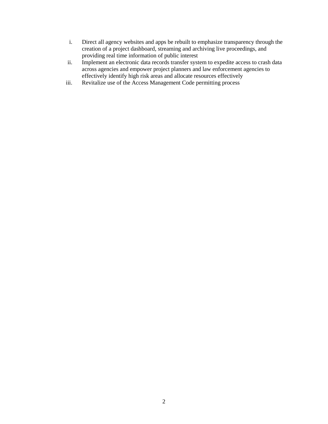- i. Direct all agency websites and apps be rebuilt to emphasize transparency through the creation of a project dashboard, streaming and archiving live proceedings, and providing real time information of public interest
- ii. Implement an electronic data records transfer system to expedite access to crash data across agencies and empower project planners and law enforcement agencies to effectively identify high risk areas and allocate resources effectively
- iii. Revitalize use of the Access Management Code permitting process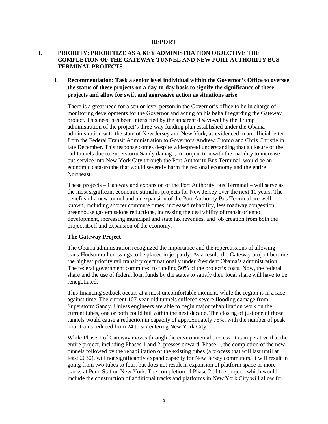#### **REPORT**

## **I. PRIORITY: PRIORITIZE AS A KEY ADMINISTRATION OBJECTIVE THE COMPLETION OF THE GATEWAY TUNNEL AND NEW PORT AUTHORITY BUS TERMINAL PROJECTS.**

# i. **Recommendation: Task a senior level individual within the Governor's Office to oversee the status of these projects on a day-to-day basis to signify the significance of these projects and allow for swift and aggressive action as situations arise**

There is a great need for a senior level person in the Governor's office to be in charge of monitoring developments for the Governor and acting on his behalf regarding the Gateway project. This need has been intensified by the apparent disavowal by the Trump administration of the project's three-way funding plan established under the Obama administration with the state of New Jersey and New York, as evidenced in an official letter from the Federal Transit Administration to Governors Andrew Cuomo and Chris Christie in late December. This response comes despite widespread understanding that a closure of the rail tunnels due to Superstorm Sandy damage, in conjunction with the inability to increase bus service into New York City through the Port Authority Bus Terminal, would be an economic catastrophe that would severely harm the regional economy and the entire Northeast.

These projects – Gateway and expansion of the Port Authority Bus Terminal – will serve as the most significant economic stimulus projects for New Jersey over the next 10 years. The benefits of a new tunnel and an expansion of the Port Authority Bus Terminal are well known, including shorter commute times, increased reliability, less roadway congestion, greenhouse gas emissions reductions, increasing the desirability of transit oriented development, increasing municipal and state tax revenues, and job creation from both the project itself and expansion of the economy.

#### **The Gateway Project**

The Obama administration recognized the importance and the repercussions of allowing trans-Hudson rail crossings to be placed in jeopardy. As a result, the Gateway project became the highest priority rail transit project nationally under President Obama's administration. The federal government committed to funding 50% of the project's costs. Now, the federal share and the use of federal loan funds by the states to satisfy their local share will have to be renegotiated.

This financing setback occurs at a most uncomfortable moment, while the region is in a race against time. The current 107-year-old tunnels suffered severe flooding damage from Superstorm Sandy. Unless engineers are able to begin major rehabilitation work on the current tubes, one or both could fail within the next decade. The closing of just one of those tunnels would cause a reduction in capacity of approximately 75%, with the number of peak hour trains reduced from 24 to six entering New York City.

While Phase 1 of Gateway moves through the environmental process, it is imperative that the entire project, including Phases 1 and 2, presses onward. Phase 1, the completion of the new tunnels followed by the rehabilitation of the existing tubes (a process that will last until at least 2030), will not significantly expand capacity for New Jersey commuters. It will result in going from two tubes to four, but does not result in expansion of platform space or more tracks at Penn Station New York. The completion of Phase 2 of the project, which would include the construction of additional tracks and platforms in New York City will allow for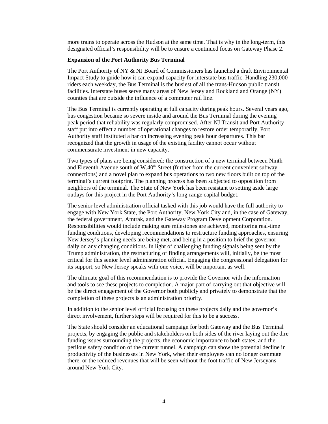more trains to operate across the Hudson at the same time. That is why in the long-term, this designated official's responsibility will be to ensure a continued focus on Gateway Phase 2.

#### **Expansion of the Port Authority Bus Terminal**

The Port Authority of NY & NJ Board of Commissioners has launched a draft Environmental Impact Study to guide how it can expand capacity for interstate bus traffic. Handling 230,000 riders each weekday, the Bus Terminal is the busiest of all the trans-Hudson public transit facilities. Interstate buses serve many areas of New Jersey and Rockland and Orange (NY) counties that are outside the influence of a commuter rail line.

The Bus Terminal is currently operating at full capacity during peak hours. Several years ago, bus congestion became so severe inside and around the Bus Terminal during the evening peak period that reliability was regularly compromised. After NJ Transit and Port Authority staff put into effect a number of operational changes to restore order temporarily, Port Authority staff instituted a bar on increasing evening peak hour departures. This bar recognized that the growth in usage of the existing facility cannot occur without commensurate investment in new capacity.

Two types of plans are being considered: the construction of a new terminal between Ninth and Eleventh Avenue south of  $W.40<sup>th</sup>$  Street (further from the current convenient subway connections) and a novel plan to expand bus operations to two new floors built on top of the terminal's current footprint. The planning process has been subjected to opposition from neighbors of the terminal. The State of New York has been resistant to setting aside large outlays for this project in the Port Authority's long-range capital budget.

The senior level administration official tasked with this job would have the full authority to engage with New York State, the Port Authority, New York City and, in the case of Gateway, the federal government, Amtrak, and the Gateway Program Development Corporation. Responsibilities would include making sure milestones are achieved, monitoring real-time funding conditions, developing recommendations to restructure funding approaches, ensuring New Jersey's planning needs are being met, and being in a position to brief the governor daily on any changing conditions. In light of challenging funding signals being sent by the Trump administration, the restructuring of finding arrangements will, initially, be the most critical for this senior level administration official. Engaging the congressional delegation for its support, so New Jersey speaks with one voice, will be important as well.

The ultimate goal of this recommendation is to provide the Governor with the information and tools to see these projects to completion. A major part of carrying out that objective will be the direct engagement of the Governor both publicly and privately to demonstrate that the completion of these projects is an administration priority.

In addition to the senior level official focusing on these projects daily and the governor's direct involvement, further steps will be required for this to be a success.

The State should consider an educational campaign for both Gateway and the Bus Terminal projects, by engaging the public and stakeholders on both sides of the river laying out the dire funding issues surrounding the projects, the economic importance to both states, and the perilous safety condition of the current tunnel. A campaign can show the potential decline in productivity of the businesses in New York, when their employees can no longer commute there, or the reduced revenues that will be seen without the foot traffic of New Jerseyans around New York City.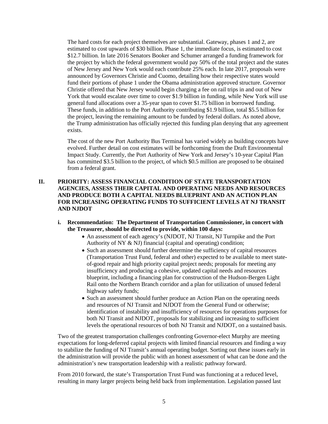The hard costs for each project themselves are substantial. Gateway, phases 1 and 2, are estimated to cost upwards of \$30 billion. Phase 1, the immediate focus, is estimated to cost \$12.7 billion. In late 2016 Senators Booker and Schumer arranged a funding framework for the project by which the federal government would pay 50% of the total project and the states of New Jersey and New York would each contribute 25% each. In late 2017, proposals were announced by Governors Christie and Cuomo, detailing how their respective states would fund their portions of phase 1 under the Obama administration approved structure. Governor Christie offered that New Jersey would begin charging a fee on rail trips in and out of New York that would escalate over time to cover \$1.9 billion in funding, while New York will use general fund allocations over a 35-year span to cover \$1.75 billion in borrowed funding. These funds, in addition to the Port Authority contributing \$1.9 billion, total \$5.5 billion for the project, leaving the remaining amount to be funded by federal dollars. As noted above, the Trump administration has officially rejected this funding plan denying that any agreement exists.

The cost of the new Port Authority Bus Terminal has varied widely as building concepts have evolved. Further detail on cost estimates will be forthcoming from the Draft Environmental Impact Study. Currently, the Port Authority of New York and Jersey's 10-year Capital Plan has committed \$3.5 billion to the project, of which \$0.5 million are proposed to be obtained from a federal grant.

# **II. PRIORITY: ASSESS FINANCIAL CONDITION OF STATE TRANSPORTATION AGENCIES, ASSESS THEIR CAPITAL AND OPERATING NEEDS AND RESOURCES AND PRODUCE BOTH A CAPITAL NEEDS BLUEPRINT AND AN ACTION PLAN FOR INCREASING OPERATING FUNDS TO SUFFICIENT LEVELS AT NJ TRANSIT AND NJDOT**

## **i. Recommendation: The Department of Transportation Commissioner, in concert with the Treasurer, should be directed to provide, within 100 days:**

- An assessment of each agency's (NJDOT, NJ Transit, NJ Turnpike and the Port Authority of NY & NJ) financial (capital and operating) condition;
- Such an assessment should further determine the sufficiency of capital resources (Transportation Trust Fund, federal and other) expected to be available to meet stateof-good repair and high priority capital project needs; proposals for meeting any insufficiency and producing a cohesive, updated capital needs and resources blueprint, including a financing plan for construction of the Hudson-Bergen Light Rail onto the Northern Branch corridor and a plan for utilization of unused federal highway safety funds;
- Such an assessment should further produce an Action Plan on the operating needs and resources of NJ Transit and NJDOT from the General Fund or otherwise; identification of instability and insufficiency of resources for operations purposes for both NJ Transit and NJDOT, proposals for stabilizing and increasing to sufficient levels the operational resources of both NJ Transit and NJDOT, on a sustained basis.

Two of the greatest transportation challenges confronting Governor-elect Murphy are meeting expectations for long-deferred capital projects with limited financial resources and finding a way to stabilize the funding of NJ Transit's annual operating budget. Sorting out these issues early in the administration will provide the public with an honest assessment of what can be done and the administration's new transportation leadership with a realistic pathway forward.

From 2010 forward, the state's Transportation Trust Fund was functioning at a reduced level, resulting in many larger projects being held back from implementation. Legislation passed last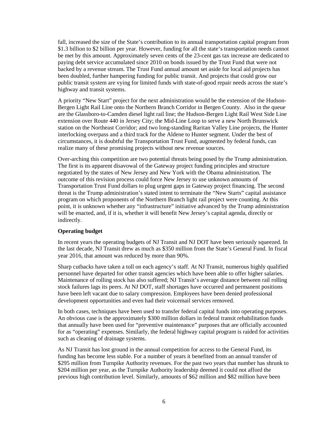fall, increased the size of the State's contribution to its annual transportation capital program from \$1.3 billion to \$2 billion per year. However, funding for all the state's transportation needs cannot be met by this amount. Approximately seven cents of the 23-cent gas tax increase are dedicated to paying debt service accumulated since 2010 on bonds issued by the Trust Fund that were not backed by a revenue stream. The Trust Fund annual amount set aside for local aid projects has been doubled, further hampering funding for public transit. And projects that could grow our public transit system are vying for limited funds with state-of-good repair needs across the state's highway and transit systems.

A priority "New Start" project for the next administration would be the extension of the Hudson-Bergen Light Rail Line onto the Northern Branch Corridor in Bergen County. Also in the queue are the Glassboro-to-Camden diesel light rail line; the Hudson-Bergen Light Rail West Side Line extension over Route 440 in Jersey City; the Mid-Line Loop to serve a new North Brunswick station on the Northeast Corridor; and two long-standing Raritan Valley Line projects, the Hunter interlocking overpass and a third track for the Aldene to Hunter segment. Under the best of circumstances, it is doubtful the Transportation Trust Fund, augmented by federal funds, can realize many of these promising projects without new revenue sources.

Over-arching this competition are two potential threats being posed by the Trump administration. The first is its apparent disavowal of the Gateway project funding principles and structure negotiated by the states of New Jersey and New York with the Obama administration. The outcome of this revision process could force New Jersey to use unknown amounts of Transportation Trust Fund dollars to plug urgent gaps in Gateway project financing. The second threat is the Trump administration's stated intent to terminate the "New Starts" capital assistance program on which proponents of the Northern Branch light rail project were counting. At this point, it is unknown whether any "infrastructure" initiative advanced by the Trump administration will be enacted, and, if it is, whether it will benefit New Jersey's capital agenda, directly or indirectly.

## **Operating budget**

In recent years the operating budgets of NJ Transit and NJ DOT have been seriously squeezed. In the last decade, NJ Transit drew as much as \$350 million from the State's General Fund. In fiscal year 2016, that amount was reduced by more than 90%.

Sharp cutbacks have taken a toll on each agency's staff. At NJ Transit, numerous highly qualified personnel have departed for other transit agencies which have been able to offer higher salaries. Maintenance of rolling stock has also suffered; NJ Transit's average distance between rail rolling stock failures lags its peers. At NJ DOT, staff shortages have occurred and permanent positions have been left vacant due to salary compression. Employees have been denied professional development opportunities and even had their voicemail services removed.

In both cases, techniques have been used to transfer federal capital funds into operating purposes. An obvious case is the approximately \$300 million dollars in federal transit rehabilitation funds that annually have been used for "preventive maintenance" purposes that are officially accounted for as "operating" expenses. Similarly, the federal highway capital program is raided for activities such as cleaning of drainage systems.

As NJ Transit has lost ground in the annual competition for access to the General Fund, its funding has become less stable. For a number of years it benefited from an annual transfer of \$295 million from Turnpike Authority revenues. For the past two years that number has shrunk to \$204 million per year, as the Turnpike Authority leadership deemed it could not afford the previous high contribution level. Similarly, amounts of \$62 million and \$82 million have been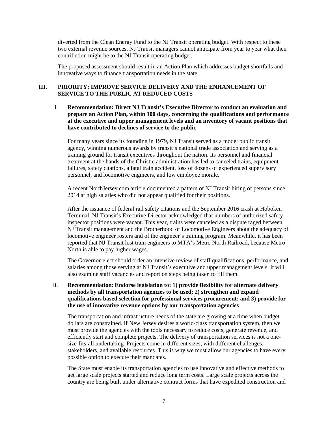diverted from the Clean Energy Fund to the NJ Transit operating budget. With respect to these two external revenue sources, NJ Transit managers cannot anticipate from year to year what their contribution might be to the NJ Transit operating budget.

The proposed assessment should result in an Action Plan which addresses budget shortfalls and innovative ways to finance transportation needs in the state.

### **III. PRIORITY: IMPROVE SERVICE DELIVERY AND THE ENHANCEMENT OF SERVICE TO THE PUBLIC AT REDUCED COSTS**

i. **Recommendation: Direct NJ Transit's Executive Director to conduct an evaluation and prepare an Action Plan, within 100 days, concerning the qualifications and performance at the executive and upper management levels and an inventory of vacant positions that have contributed to declines of service to the public** 

For many years since its founding in 1979, NJ Transit served as a model public transit agency, winning numerous awards by transit's national trade association and serving as a training ground for transit executives throughout the nation. Its personnel and financial treatment at the hands of the Christie administration has led to canceled trains, equipment failures, safety citations, a fatal train accident, loss of dozens of experienced supervisory personnel, and locomotive engineers, and low employee morale.

A recent NorthJersey.com article documented a pattern of NJ Transit hiring of persons since 2014 at high salaries who did not appear qualified for their positions.

After the issuance of federal rail safety citations and the September 2016 crash at Hoboken Terminal, NJ Transit's Executive Director acknowledged that numbers of authorized safety inspector positions were vacant. This year, trains were canceled as a dispute raged between NJ Transit management and the Brotherhood of Locomotive Engineers about the adequacy of locomotive engineer rosters and of the engineer's training program. Meanwhile, it has been reported that NJ Transit lost train engineers to MTA's Metro North Railroad, because Metro North is able to pay higher wages.

The Governor-elect should order an intensive review of staff qualifications, performance, and salaries among those serving at NJ Transit's executive and upper management levels. It will also examine staff vacancies and report on steps being taken to fill them.

## ii. **Recommendation**: **Endorse legislation to: 1) provide flexibility for alternate delivery methods by all transportation agencies to be used; 2) strengthen and expand qualifications based selection for professional services procurement; and 3) provide for the use of innovative revenue options by our transportation agencies**

The transportation and infrastructure needs of the state are growing at a time when budget dollars are constrained. If New Jersey desires a world-class transportation system, then we must provide the agencies with the tools necessary to reduce costs, generate revenue, and efficiently start and complete projects. The delivery of transportation services is not a onesize-fits-all undertaking. Projects come in different sizes, with different challenges, stakeholders, and available resources. This is why we must allow our agencies to have every possible option to execute their mandates.

The State must enable its transportation agencies to use innovative and effective methods to get large scale projects started and reduce long term costs. Large scale projects across the country are being built under alternative contract forms that have expedited construction and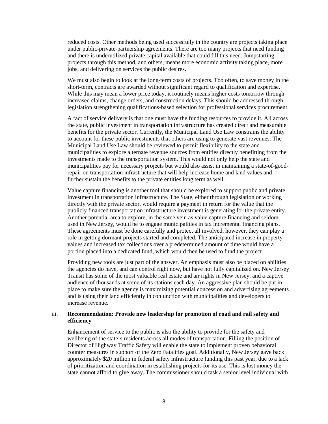reduced costs. Other methods being used successfully in the country are projects taking place under public-private-partnership agreements. There are too many projects that need funding and there is underutilized private capital available that could fill this need. Jumpstarting projects through this method, and others, means more economic activity taking place, more jobs, and delivering on services the public desires.

We must also begin to look at the long-term costs of projects. Too often, to save money in the short-term, contracts are awarded without significant regard to qualification and expertise. While this may mean a lower price today, it routinely means higher costs tomorrow through increased claims, change orders, and construction delays. This should be addressed through legislation strengthening qualifications-based selection for professional services procurement.

A fact of service delivery is that one must have the funding resources to provide it. All across the state, public investment in transportation infrastructure has created direct and measurable benefits for the private sector. Currently, the Municipal Land Use Law constrains the ability to account for these public investments that others are using to generate vast revenues. The Municipal Land Use Law should be reviewed to permit flexibility to the state and municipalities to explore alternate revenue sources from entities directly benefitting from the investments made to the transportation system. This would not only help the state and municipalities pay for necessary projects but would also assist in maintaining a state-of-goodrepair on transportation infrastructure that will help increase home and land values and further sustain the benefits to the private entities long term as well.

Value capture financing is another tool that should be explored to support public and private investment in transportation infrastructure. The State, either through legislation or working directly with the private sector, would require a payment in return for the value that the publicly financed transportation infrastructure investment is generating for the private entity. Another potential area to explore, in the same vein as value capture financing and seldom used in New Jersey, would be to engage municipalities in tax incremental financing plans. These agreements must be done carefully and protect all involved, however, they can play a role in getting dormant projects started and completed. The anticipated increase in property values and increased tax collections over a predetermined amount of time would have a portion placed into a dedicated fund, which would then be used to fund the project.

Providing new tools are just part of the answer. An emphasis must also be placed on abilities the agencies do have, and can control right now, but have not fully capitalized on. New Jersey Transit has some of the most valuable real estate and air rights in New Jersey, and a captive audience of thousands at some of its stations each day. An aggressive plan should be put in place to make sure the agency is maximizing potential concession and advertising agreements and is using their land efficiently in conjunction with municipalities and developers to increase revenue.

#### iii. **Recommendation: Provide new leadership for promotion of road and rail safety and efficiency**

Enhancement of service to the public is also the ability to provide for the safety and wellbeing of the state's residents across all modes of transportation. Filling the position of Director of Highway Traffic Safety will enable the state to implement proven behavioral counter measures in support of the Zero Fatalities goal. Additionally, New Jersey gave back approximately \$20 million in federal safety infrastructure funding this past year, due to a lack of prioritization and coordination in establishing projects for its use. This is lost money the state cannot afford to give away. The commissioner should task a senior level individual with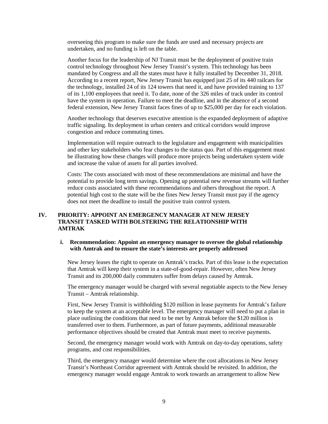overseeing this program to make sure the funds are used and necessary projects are undertaken, and no funding is left on the table.

Another focus for the leadership of NJ Transit must be the deployment of positive train control technology throughout New Jersey Transit's system. This technology has been mandated by Congress and all the states must have it fully installed by December 31, 2018. According to a recent report, New Jersey Transit has equipped just 25 of its 440 railcars for the technology, installed 24 of its 124 towers that need it, and have provided training to 137 of its 1,100 employees that need it. To date, none of the 326 miles of track under its control have the system in operation. Failure to meet the deadline, and in the absence of a second federal extension, New Jersey Transit faces fines of up to \$25,000 per day for each violation.

Another technology that deserves executive attention is the expanded deployment of adaptive traffic signaling. Its deployment in urban centers and critical corridors would improve congestion and reduce commuting times.

Implementation will require outreach to the legislature and engagement with municipalities and other key stakeholders who fear changes to the status quo. Part of this engagement must be illustrating how these changes will produce more projects being undertaken system wide and increase the value of assets for all parties involved.

Costs: The costs associated with most of these recommendations are minimal and have the potential to provide long term savings. Opening up potential new revenue streams will further reduce costs associated with these recommendations and others throughout the report. A potential high cost to the state will be the fines New Jersey Transit must pay if the agency does not meet the deadline to install the positive train control system.

# **IV. PRIORITY: APPOINT AN EMERGENCY MANAGER AT NEW JERSEY TRANSIT TASKED WITH BOLSTERING THE RELATIONSHIP WITH AMTRAK**

#### **i. Recommendation: Appoint an emergency manager to oversee the global relationship with Amtrak and to ensure the state's interests are properly addressed**

New Jersey leases the right to operate on Amtrak's tracks. Part of this lease is the expectation that Amtrak will keep their system in a state-of-good-repair. However, often New Jersey Transit and its 200,000 daily commuters suffer from delays caused by Amtrak.

The emergency manager would be charged with several negotiable aspects to the New Jersey Transit – Amtrak relationship.

First, New Jersey Transit is withholding \$120 million in lease payments for Amtrak's failure to keep the system at an acceptable level. The emergency manager will need to put a plan in place outlining the conditions that need to be met by Amtrak before the \$120 million is transferred over to them. Furthermore, as part of future payments, additional measurable performance objectives should be created that Amtrak must meet to receive payments.

Second, the emergency manager would work with Amtrak on day-to-day operations, safety programs, and cost responsibilities.

Third, the emergency manager would determine where the cost allocations in New Jersey Transit's Northeast Corridor agreement with Amtrak should be revisited. In addition, the emergency manager would engage Amtrak to work towards an arrangement to allow New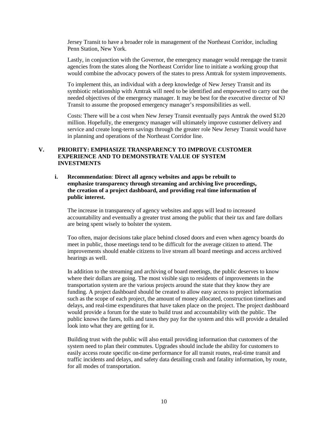Jersey Transit to have a broader role in management of the Northeast Corridor, including Penn Station, New York.

Lastly, in conjunction with the Governor, the emergency manager would reengage the transit agencies from the states along the Northeast Corridor line to initiate a working group that would combine the advocacy powers of the states to press Amtrak for system improvements.

To implement this, an individual with a deep knowledge of New Jersey Transit and its symbiotic relationship with Amtrak will need to be identified and empowered to carry out the needed objectives of the emergency manager. It may be best for the executive director of NJ Transit to assume the proposed emergency manager's responsibilities as well.

Costs: There will be a cost when New Jersey Transit eventually pays Amtrak the owed \$120 million. Hopefully, the emergency manager will ultimately improve customer delivery and service and create long-term savings through the greater role New Jersey Transit would have in planning and operations of the Northeast Corridor line.

### **V. PRIORITY: EMPHASIZE TRANSPARENCY TO IMPROVE CUSTOMER EXPERIENCE AND TO DEMONSTRATE VALUE OF SYSTEM INVESTMENTS**

## **i. Recommendation**: **Direct all agency websites and apps be rebuilt to emphasize transparency through streaming and archiving live proceedings, the creation of a project dashboard, and providing real time information of public interest.**

The increase in transparency of agency websites and apps will lead to increased accountability and eventually a greater trust among the public that their tax and fare dollars are being spent wisely to bolster the system.

Too often, major decisions take place behind closed doors and even when agency boards do meet in public, those meetings tend to be difficult for the average citizen to attend. The improvements should enable citizens to live stream all board meetings and access archived hearings as well.

In addition to the streaming and archiving of board meetings, the public deserves to know where their dollars are going. The most visible sign to residents of improvements in the transportation system are the various projects around the state that they know they are funding. A project dashboard should be created to allow easy access to project information such as the scope of each project, the amount of money allocated, construction timelines and delays, and real-time expenditures that have taken place on the project. The project dashboard would provide a forum for the state to build trust and accountability with the public. The public knows the fares, tolls and taxes they pay for the system and this will provide a detailed look into what they are getting for it.

Building trust with the public will also entail providing information that customers of the system need to plan their commutes. Upgrades should include the ability for customers to easily access route specific on-time performance for all transit routes, real-time transit and traffic incidents and delays, and safety data detailing crash and fatality information, by route, for all modes of transportation.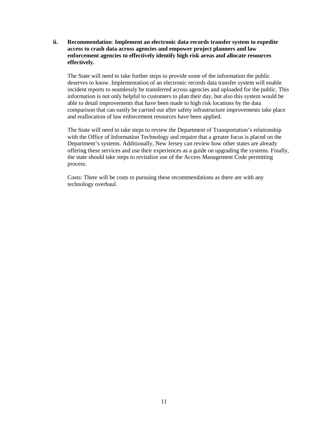**ii. Recommendation**: **Implement an electronic data records transfer system to expedite access to crash data across agencies and empower project planners and law enforcement agencies to effectively identify high risk areas and allocate resources effectively.**

The State will need to take further steps to provide some of the information the public deserves to know. Implementation of an electronic records data transfer system will enable incident reports to seamlessly be transferred across agencies and uploaded for the public. This information is not only helpful to customers to plan their day, but also this system would be able to detail improvements that have been made to high risk locations by the data comparison that can easily be carried out after safety infrastructure improvements take place and reallocation of law enforcement resources have been applied.

The State will need to take steps to review the Department of Transportation's relationship with the Office of Information Technology and require that a greater focus is placed on the Department's systems. Additionally, New Jersey can review how other states are already offering these services and use their experiences as a guide on upgrading the systems. Finally, the state should take steps to revitalize use of the Access Management Code permitting process.

Costs: There will be costs to pursuing these recommendations as there are with any technology overhaul.